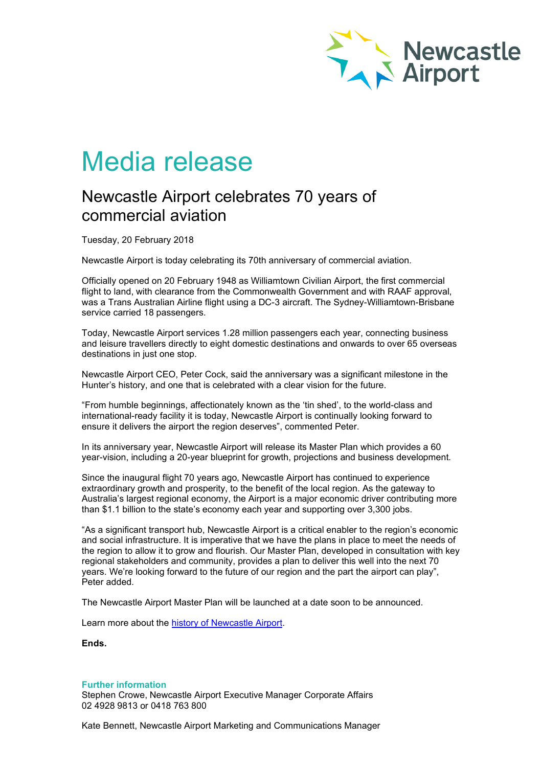

## Media release

## Newcastle Airport celebrates 70 years of commercial aviation

Tuesday, 20 February 2018

Newcastle Airport is today celebrating its 70th anniversary of commercial aviation.

Officially opened on 20 February 1948 as Williamtown Civilian Airport, the first commercial flight to land, with clearance from the Commonwealth Government and with RAAF approval, was a Trans Australian Airline flight using a DC-3 aircraft. The Sydney-Williamtown-Brisbane service carried 18 passengers.

Today, Newcastle Airport services 1.28 million passengers each year, connecting business and leisure travellers directly to eight domestic destinations and onwards to over 65 overseas destinations in just one stop.

Newcastle Airport CEO, Peter Cock, said the anniversary was a significant milestone in the Hunter's history, and one that is celebrated with a clear vision for the future.

"From humble beginnings, affectionately known as the 'tin shed', to the world-class and international-ready facility it is today, Newcastle Airport is continually looking forward to ensure it delivers the airport the region deserves", commented Peter.

In its anniversary year, Newcastle Airport will release its Master Plan which provides a 60 year-vision, including a 20-year blueprint for growth, projections and business development.

Since the inaugural flight 70 years ago, Newcastle Airport has continued to experience extraordinary growth and prosperity, to the benefit of the local region. As the gateway to Australia's largest regional economy, the Airport is a major economic driver contributing more than \$1.1 billion to the state's economy each year and supporting over 3,300 jobs.

"As a significant transport hub, Newcastle Airport is a critical enabler to the region's economic and social infrastructure. It is imperative that we have the plans in place to meet the needs of the region to allow it to grow and flourish. Our Master Plan, developed in consultation with key regional stakeholders and community, provides a plan to deliver this well into the next 70 years. We're looking forward to the future of our region and the part the airport can play", Peter added.

The Newcastle Airport Master Plan will be launched at a date soon to be announced.

Learn more about the [history of Newcastle Airport.](https://www.newcastleairport.com.au/about-us/our-history)

**Ends.**

**Further information** Stephen Crowe, Newcastle Airport Executive Manager Corporate Affairs 02 4928 9813 or 0418 763 800

Kate Bennett, Newcastle Airport Marketing and Communications Manager